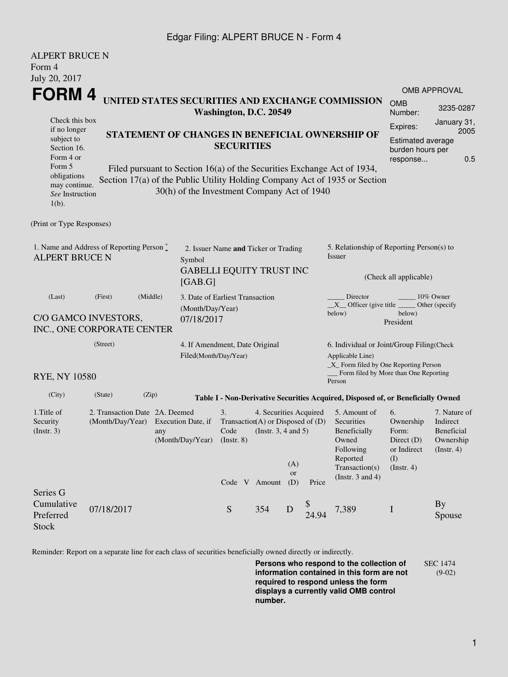## Edgar Filing: ALPERT BRUCE N - Form 4

| <b>ALPERT BRUCE N</b>                                                                                      |                                                                                      |                                                           |                                             |                                                         |                        |                                        |                                              |                                                                                  |                       |                                |  |  |
|------------------------------------------------------------------------------------------------------------|--------------------------------------------------------------------------------------|-----------------------------------------------------------|---------------------------------------------|---------------------------------------------------------|------------------------|----------------------------------------|----------------------------------------------|----------------------------------------------------------------------------------|-----------------------|--------------------------------|--|--|
| Form 4                                                                                                     |                                                                                      |                                                           |                                             |                                                         |                        |                                        |                                              |                                                                                  |                       |                                |  |  |
| July 20, 2017                                                                                              |                                                                                      |                                                           |                                             |                                                         |                        |                                        |                                              |                                                                                  |                       |                                |  |  |
| FORM 4<br>UNITED STATES SECURITIES AND EXCHANGE COMMISSION                                                 |                                                                                      |                                                           |                                             |                                                         |                        |                                        |                                              |                                                                                  | <b>OMB APPROVAL</b>   |                                |  |  |
|                                                                                                            |                                                                                      |                                                           |                                             | Washington, D.C. 20549                                  |                        |                                        |                                              |                                                                                  | <b>OMB</b><br>Number: | 3235-0287                      |  |  |
| Check this box                                                                                             |                                                                                      |                                                           |                                             |                                                         |                        |                                        | Expires:                                     | January 31,<br>2005                                                              |                       |                                |  |  |
| if no longer<br>STATEMENT OF CHANGES IN BENEFICIAL OWNERSHIP OF<br>subject to                              |                                                                                      |                                                           |                                             |                                                         |                        |                                        |                                              |                                                                                  | Estimated average     |                                |  |  |
| <b>SECURITIES</b><br>Section 16.                                                                           |                                                                                      |                                                           |                                             |                                                         |                        |                                        |                                              | burden hours per                                                                 |                       |                                |  |  |
| Form 5                                                                                                     | Form 4 or<br>Filed pursuant to Section 16(a) of the Securities Exchange Act of 1934, |                                                           |                                             |                                                         |                        |                                        |                                              |                                                                                  | response              | 0.5                            |  |  |
| obligations                                                                                                |                                                                                      |                                                           |                                             |                                                         |                        |                                        |                                              |                                                                                  |                       |                                |  |  |
| may continue.                                                                                              |                                                                                      |                                                           | 30(h) of the Investment Company Act of 1940 |                                                         |                        |                                        |                                              | Section 17(a) of the Public Utility Holding Company Act of 1935 or Section       |                       |                                |  |  |
| See Instruction<br>$1(b)$ .                                                                                |                                                                                      |                                                           |                                             |                                                         |                        |                                        |                                              |                                                                                  |                       |                                |  |  |
|                                                                                                            |                                                                                      |                                                           |                                             |                                                         |                        |                                        |                                              |                                                                                  |                       |                                |  |  |
| (Print or Type Responses)                                                                                  |                                                                                      |                                                           |                                             |                                                         |                        |                                        |                                              |                                                                                  |                       |                                |  |  |
| 1. Name and Address of Reporting Person $\stackrel{*}{\mathbb{L}}$<br>2. Issuer Name and Ticker or Trading |                                                                                      |                                                           |                                             |                                                         |                        |                                        | 5. Relationship of Reporting Person(s) to    |                                                                                  |                       |                                |  |  |
| <b>ALPERT BRUCE N</b>                                                                                      | Symbol                                                                               |                                                           |                                             |                                                         |                        | Issuer                                 |                                              |                                                                                  |                       |                                |  |  |
|                                                                                                            |                                                                                      |                                                           |                                             | <b>GABELLI EQUITY TRUST INC</b>                         |                        |                                        |                                              |                                                                                  |                       |                                |  |  |
|                                                                                                            |                                                                                      |                                                           | [GAB.G]                                     |                                                         |                        |                                        |                                              | (Check all applicable)                                                           |                       |                                |  |  |
| (Last)                                                                                                     | (Middle)<br>(First)                                                                  |                                                           |                                             | 3. Date of Earliest Transaction                         |                        |                                        |                                              | Director<br>10% Owner                                                            |                       |                                |  |  |
|                                                                                                            |                                                                                      |                                                           | (Month/Day/Year)                            |                                                         |                        |                                        |                                              | $X$ Officer (give title<br>Other (specify<br>below)<br>below)                    |                       |                                |  |  |
| C/O GAMCO INVESTORS,<br>07/18/2017<br>INC., ONE CORPORATE CENTER                                           |                                                                                      |                                                           |                                             |                                                         |                        |                                        |                                              |                                                                                  | President             |                                |  |  |
|                                                                                                            |                                                                                      |                                                           |                                             |                                                         |                        |                                        |                                              |                                                                                  |                       |                                |  |  |
| (Street)                                                                                                   |                                                                                      |                                                           |                                             | 4. If Amendment, Date Original<br>Filed(Month/Day/Year) |                        |                                        |                                              | 6. Individual or Joint/Group Filing(Check<br>Applicable Line)                    |                       |                                |  |  |
|                                                                                                            |                                                                                      |                                                           |                                             |                                                         |                        | _X_ Form filed by One Reporting Person |                                              |                                                                                  |                       |                                |  |  |
| <b>RYE, NY 10580</b>                                                                                       |                                                                                      |                                                           |                                             |                                                         |                        |                                        |                                              | _ Form filed by More than One Reporting<br>Person                                |                       |                                |  |  |
| (City)                                                                                                     | (State)<br>(Zip)                                                                     |                                                           |                                             |                                                         |                        |                                        |                                              | Table I - Non-Derivative Securities Acquired, Disposed of, or Beneficially Owned |                       |                                |  |  |
| 1. Title of                                                                                                | 2. Transaction Date 2A. Deemed                                                       |                                                           |                                             | 3.                                                      | 4. Securities Acquired |                                        |                                              | 5. Amount of                                                                     | 6.                    | 7. Nature of                   |  |  |
| Security                                                                                                   | (Month/Day/Year)                                                                     | Transaction(A) or Disposed of $(D)$<br>Execution Date, if |                                             |                                                         |                        |                                        | Securities                                   | Ownership                                                                        | Indirect              |                                |  |  |
| $($ Instr. 3 $)$<br>any                                                                                    |                                                                                      |                                                           | Code<br>(Instr. $3, 4$ and $5$ )            |                                                         |                        |                                        |                                              | Beneficially<br>Owned                                                            | Form:<br>Direct $(D)$ | <b>Beneficial</b><br>Ownership |  |  |
| (Month/Day/Year)<br>(Instr. 8)                                                                             |                                                                                      |                                                           |                                             |                                                         |                        |                                        | Following<br>or Indirect<br>$($ Instr. 4 $)$ |                                                                                  |                       |                                |  |  |
|                                                                                                            |                                                                                      |                                                           |                                             |                                                         |                        | (A)                                    |                                              | Reported                                                                         | (I)                   |                                |  |  |
|                                                                                                            |                                                                                      |                                                           |                                             |                                                         |                        | <b>or</b>                              |                                              | Transaction(s)<br>(Instr. $3$ and $4$ )                                          | $($ Instr. 4 $)$      |                                |  |  |
|                                                                                                            |                                                                                      |                                                           |                                             |                                                         | Code V Amount          | (D)                                    | Price                                        |                                                                                  |                       |                                |  |  |
| Series G<br>Cumulative                                                                                     |                                                                                      |                                                           |                                             |                                                         |                        |                                        |                                              |                                                                                  |                       |                                |  |  |
| Preferred                                                                                                  | 07/18/2017                                                                           |                                                           |                                             | ${\mathbf S}$                                           | 354                    | D                                      | 24.94                                        | 7,389                                                                            | $\bf{I}$              | By<br>Spouse                   |  |  |
| <b>Stock</b>                                                                                               |                                                                                      |                                                           |                                             |                                                         |                        |                                        |                                              |                                                                                  |                       |                                |  |  |
|                                                                                                            |                                                                                      |                                                           |                                             |                                                         |                        |                                        |                                              |                                                                                  |                       |                                |  |  |

Reminder: Report on a separate line for each class of securities beneficially owned directly or indirectly.

**Persons who respond to the collection of information contained in this form are not required to respond unless the form displays a currently valid OMB control number.** SEC 1474 (9-02)